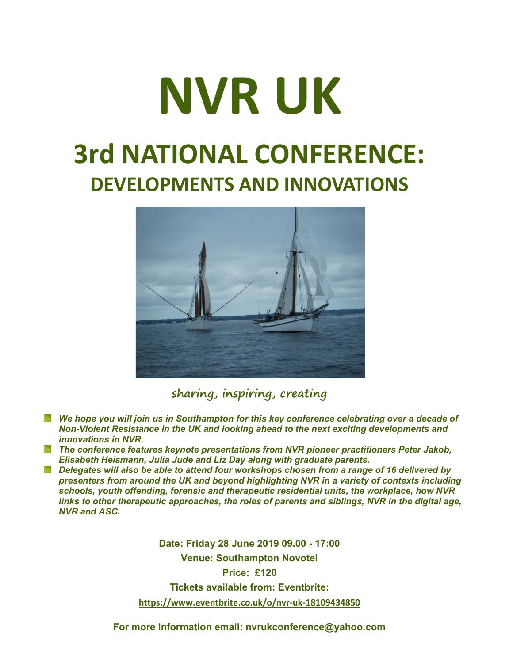## NVR UK 3rd NATIONAL CONFERENCE: DEVELOPMENTS AND INNOVATIONS



sharing, inspiring, creating

- *We hope you will join us in Southampton for this key conference celebrating over a decade of Non-Violent Resistance in the UK and looking ahead to the next exciting developments and innovations in NVR.*
- *The conference features keynote presentations from NVR pioneer practitioners Peter Jakob, Elisabeth Heismann, Julia Jude and Liz Day along with graduate parents.*
- *Delegates will also be able to attend four workshops chosen from a range of 16 delivered by presenters from around the UK and beyond highlighting NVR in a variety of contexts including schools, youth offending, forensic and therapeutic residential units, the workplace, how NVR links to other therapeutic approaches, the roles of parents and siblings, NVR in the digital age, NVR and ASC.*

Date: Friday 28 June 2019 09.00 - 17:00 Venue: Southampton Novotel

Price: £120

Tickets available from: Eventbrite:

https://www.eventbrite.co.uk/o/nvr-uk-18109434850

For more information email: nvrukconference@yahoo.com